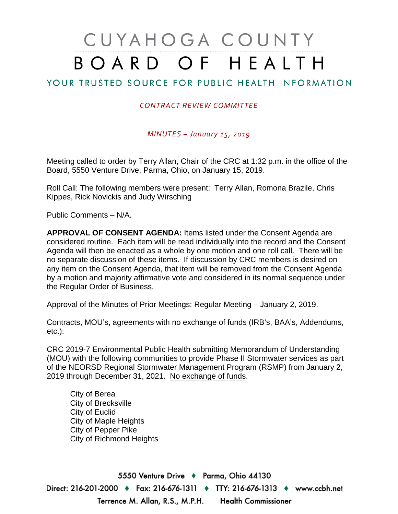## CUYAHOGA COUNTY BOARD OF HEALTH

## YOUR TRUSTED SOURCE FOR PUBLIC HEALTH INFORMATION

## *CONTRACT REVIEW COMMITTEE*

*MINUTES – January 15, 2019*

Meeting called to order by Terry Allan, Chair of the CRC at 1:32 p.m. in the office of the Board, 5550 Venture Drive, Parma, Ohio, on January 15, 2019.

Roll Call: The following members were present: Terry Allan, Romona Brazile, Chris Kippes, Rick Novickis and Judy Wirsching

Public Comments – N/A.

**APPROVAL OF CONSENT AGENDA:** Items listed under the Consent Agenda are considered routine. Each item will be read individually into the record and the Consent Agenda will then be enacted as a whole by one motion and one roll call. There will be no separate discussion of these items. If discussion by CRC members is desired on any item on the Consent Agenda, that item will be removed from the Consent Agenda by a motion and majority affirmative vote and considered in its normal sequence under the Regular Order of Business.

Approval of the Minutes of Prior Meetings: Regular Meeting – January 2, 2019.

Contracts, MOU's, agreements with no exchange of funds (IRB's, BAA's, Addendums, etc.):

CRC 2019-7 Environmental Public Health submitting Memorandum of Understanding (MOU) with the following communities to provide Phase II Stormwater services as part of the NEORSD Regional Stormwater Management Program (RSMP) from January 2, 2019 through December 31, 2021. No exchange of funds.

City of Berea City of Brecksville City of Euclid City of Maple Heights City of Pepper Pike City of Richmond Heights

5550 Venture Drive + Parma, Ohio 44130 Direct: 216-201-2000 ♦ Fax: 216-676-1311 ♦ TTY: 216-676-1313 ♦ www.ccbh.net Terrence M. Allan, R.S., M.P.H. **Health Commissioner**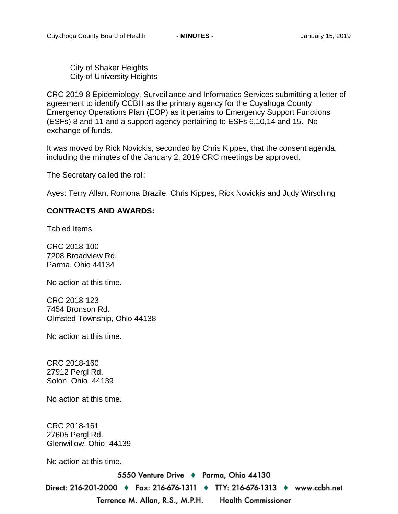City of Shaker Heights City of University Heights

CRC 2019-8 Epidemiology, Surveillance and Informatics Services submitting a letter of agreement to identify CCBH as the primary agency for the Cuyahoga County Emergency Operations Plan (EOP) as it pertains to Emergency Support Functions (ESFs) 8 and 11 and a support agency pertaining to ESFs 6,10,14 and 15. No exchange of funds.

It was moved by Rick Novickis, seconded by Chris Kippes, that the consent agenda, including the minutes of the January 2, 2019 CRC meetings be approved.

The Secretary called the roll:

Ayes: Terry Allan, Romona Brazile, Chris Kippes, Rick Novickis and Judy Wirsching

## **CONTRACTS AND AWARDS:**

Tabled Items

CRC 2018-100 7208 Broadview Rd. Parma, Ohio 44134

No action at this time.

CRC 2018-123 7454 Bronson Rd. Olmsted Township, Ohio 44138

No action at this time.

CRC 2018-160 27912 Pergl Rd. Solon, Ohio 44139

No action at this time.

CRC 2018-161 27605 Pergl Rd. Glenwillow, Ohio 44139

No action at this time.

5550 Venture Drive + Parma, Ohio 44130

Direct: 216-201-2000 ♦ Fax: 216-676-1311 ♦ TTY: 216-676-1313 ♦ www.ccbh.net Terrence M. Allan, R.S., M.P.H. **Health Commissioner**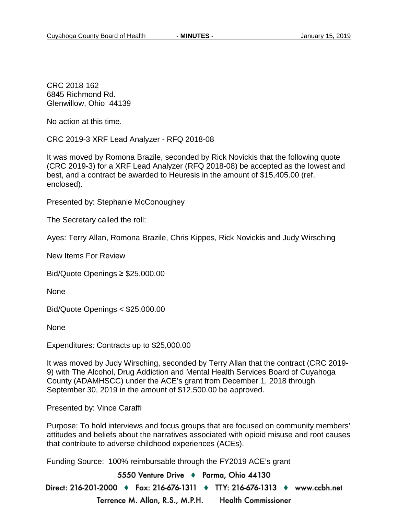CRC 2018-162 6845 Richmond Rd. Glenwillow, Ohio 44139

No action at this time.

CRC 2019-3 XRF Lead Analyzer - RFQ 2018-08

It was moved by Romona Brazile, seconded by Rick Novickis that the following quote (CRC 2019-3) for a XRF Lead Analyzer (RFQ 2018-08) be accepted as the lowest and best, and a contract be awarded to Heuresis in the amount of \$15,405.00 (ref. enclosed).

Presented by: Stephanie McConoughey

The Secretary called the roll:

Ayes: Terry Allan, Romona Brazile, Chris Kippes, Rick Novickis and Judy Wirsching

New Items For Review

Bid/Quote Openings ≥ \$25,000.00

None

Bid/Quote Openings < \$25,000.00

None

Expenditures: Contracts up to \$25,000.00

It was moved by Judy Wirsching, seconded by Terry Allan that the contract (CRC 2019- 9) with The Alcohol, Drug Addiction and Mental Health Services Board of Cuyahoga County (ADAMHSCC) under the ACE's grant from December 1, 2018 through September 30, 2019 in the amount of \$12,500.00 be approved.

Presented by: Vince Caraffi

Purpose: To hold interviews and focus groups that are focused on community members' attitudes and beliefs about the narratives associated with opioid misuse and root causes that contribute to adverse childhood experiences (ACEs).

Funding Source: 100% reimbursable through the FY2019 ACE's grant

5550 Venture Drive + Parma, Ohio 44130 Direct: 216-201-2000 ♦ Fax: 216-676-1311 ♦ TTY: 216-676-1313 ♦ www.ccbh.net Terrence M. Allan, R.S., M.P.H. **Health Commissioner**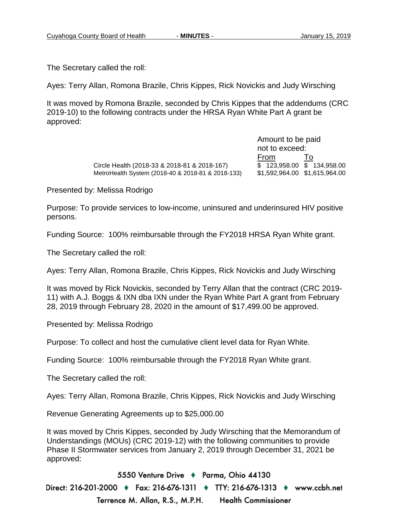The Secretary called the roll:

Ayes: Terry Allan, Romona Brazile, Chris Kippes, Rick Novickis and Judy Wirsching

It was moved by Romona Brazile, seconded by Chris Kippes that the addendums (CRC 2019-10) to the following contracts under the HRSA Ryan White Part A grant be approved:

> Circle Health (2018-33 & 2018-81 & 2018-167) MetroHealth System (2018-40 & 2018-81 & 2018-133) \$1,592,964.00 \$1,615,964.00

Amount to be paid not to exceed:  $\frac{From}{\$}$  To<br> $\frac{To}{\$}$  123,958.00  $\$$  134,958.00

Presented by: Melissa Rodrigo

Purpose: To provide services to low-income, uninsured and underinsured HIV positive persons.

Funding Source: 100% reimbursable through the FY2018 HRSA Ryan White grant.

The Secretary called the roll:

Ayes: Terry Allan, Romona Brazile, Chris Kippes, Rick Novickis and Judy Wirsching

It was moved by Rick Novickis, seconded by Terry Allan that the contract (CRC 2019- 11) with A.J. Boggs & IXN dba IXN under the Ryan White Part A grant from February 28, 2019 through February 28, 2020 in the amount of \$17,499.00 be approved.

Presented by: Melissa Rodrigo

Purpose: To collect and host the cumulative client level data for Ryan White.

Funding Source: 100% reimbursable through the FY2018 Ryan White grant.

The Secretary called the roll:

Ayes: Terry Allan, Romona Brazile, Chris Kippes, Rick Novickis and Judy Wirsching

Revenue Generating Agreements up to \$25,000.00

It was moved by Chris Kippes, seconded by Judy Wirsching that the Memorandum of Understandings (MOUs) (CRC 2019-12) with the following communities to provide Phase II Stormwater services from January 2, 2019 through December 31, 2021 be approved:

5550 Venture Drive + Parma, Ohio 44130 Direct: 216-201-2000 ♦ Fax: 216-676-1311 ♦ TTY: 216-676-1313 ♦ www.ccbh.net Terrence M. Allan, R.S., M.P.H. **Health Commissioner**